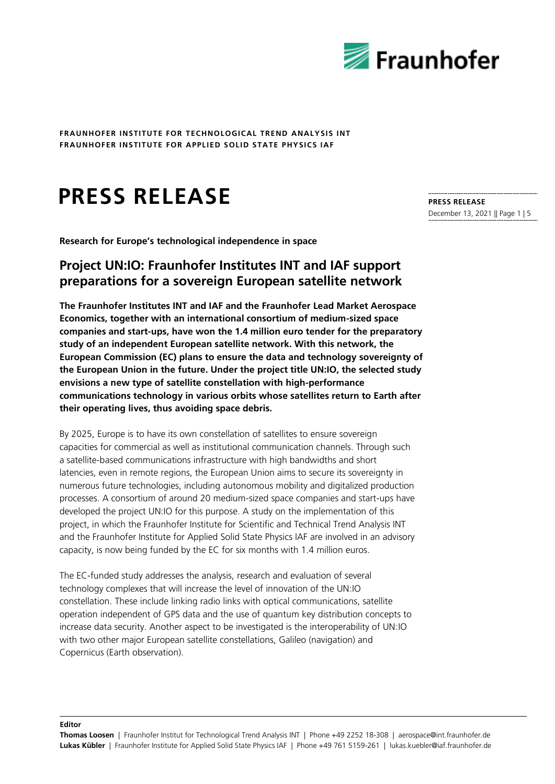

# **PRESS RELEASE**

**Research for Europe's technological independence in space**

# **Project UN:IO: Fraunhofer Institutes INT and IAF support preparations for a sovereign European satellite network**

**The Fraunhofer Institutes INT and IAF and the Fraunhofer Lead Market Aerospace Economics, together with an international consortium of medium-sized space companies and start-ups, have won the 1.4 million euro tender for the preparatory study of an independent European satellite network. With this network, the European Commission (EC) plans to ensure the data and technology sovereignty of the European Union in the future. Under the project title UN:IO, the selected study envisions a new type of satellite constellation with high-performance communications technology in various orbits whose satellites return to Earth after their operating lives, thus avoiding space debris.**

By 2025, Europe is to have its own constellation of satellites to ensure sovereign capacities for commercial as well as institutional communication channels. Through such a satellite-based communications infrastructure with high bandwidths and short latencies, even in remote regions, the European Union aims to secure its sovereignty in numerous future technologies, including autonomous mobility and digitalized production processes. A consortium of around 20 medium-sized space companies and start-ups have developed the project UN:IO for this purpose. A study on the implementation of this project, in which the Fraunhofer Institute for Scientific and Technical Trend Analysis INT and the Fraunhofer Institute for Applied Solid State Physics IAF are involved in an advisory capacity, is now being funded by the EC for six months with 1.4 million euros.

The EC-funded study addresses the analysis, research and evaluation of several technology complexes that will increase the level of innovation of the UN:IO constellation. These include linking radio links with optical communications, satellite operation independent of GPS data and the use of quantum key distribution concepts to increase data security. Another aspect to be investigated is the interoperability of UN:IO with two other major European satellite constellations, Galileo (navigation) and Copernicus (Earth observation).

**PRESS RELEASE** December 13, 2021 || Page 1 | 5

#### **Editor**

**Thomas Loosen** | Fraunhofer Institut for Technological Trend Analysis INT | Phone +49 2252 18-308 | aerospace@int.fraunhofer.de **Lukas Kübler** | Fraunhofer Institute for Applied Solid State Physics IAF | Phone +49 761 5159-261 | lukas.kuebler@iaf.fraunhofer.de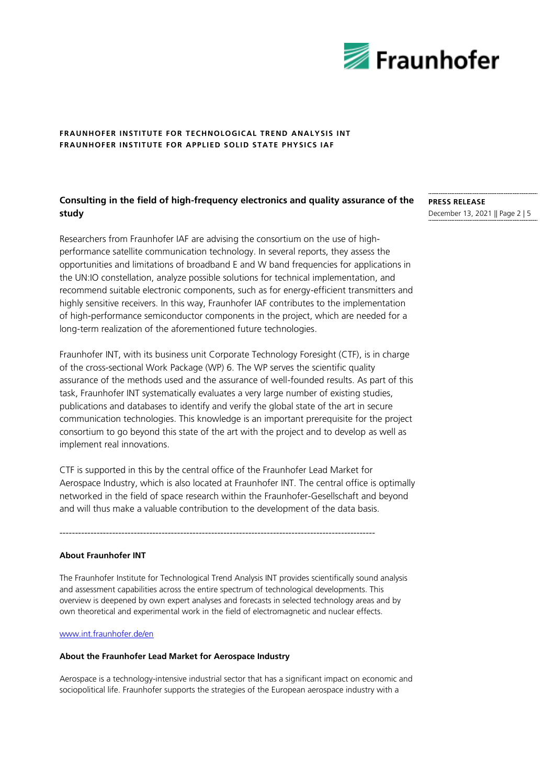

# **Consulting in the field of high-frequency electronics and quality assurance of the study**

Researchers from Fraunhofer IAF are advising the consortium on the use of highperformance satellite communication technology. In several reports, they assess the opportunities and limitations of broadband E and W band frequencies for applications in the UN:IO constellation, analyze possible solutions for technical implementation, and recommend suitable electronic components, such as for energy-efficient transmitters and highly sensitive receivers. In this way, Fraunhofer IAF contributes to the implementation of high-performance semiconductor components in the project, which are needed for a long-term realization of the aforementioned future technologies.

Fraunhofer INT, with its business unit Corporate Technology Foresight (CTF), is in charge of the cross-sectional Work Package (WP) 6. The WP serves the scientific quality assurance of the methods used and the assurance of well-founded results. As part of this task, Fraunhofer INT systematically evaluates a very large number of existing studies, publications and databases to identify and verify the global state of the art in secure communication technologies. This knowledge is an important prerequisite for the project consortium to go beyond this state of the art with the project and to develop as well as implement real innovations.

CTF is supported in this by the central office of the Fraunhofer Lead Market for Aerospace Industry, which is also located at Fraunhofer INT. The central office is optimally networked in the field of space research within the Fraunhofer-Gesellschaft and beyond and will thus make a valuable contribution to the development of the data basis.

**About Fraunhofer INT**

The Fraunhofer Institute for Technological Trend Analysis INT provides scientifically sound analysis and assessment capabilities across the entire spectrum of technological developments. This overview is deepened by own expert analyses and forecasts in selected technology areas and by own theoretical and experimental work in the field of electromagnetic and nuclear effects.

------------------------------------------------------------------------------------------------------

#### [www.int.fraunhofer.de/en](http://www.int.fraunhofer.de/en)

#### **About the Fraunhofer Lead Market for Aerospace Industry**

Aerospace is a technology-intensive industrial sector that has a significant impact on economic and sociopolitical life. Fraunhofer supports the strategies of the European aerospace industry with a

**PRESS RELEASE** December 13, 2021 || Page 2 | 5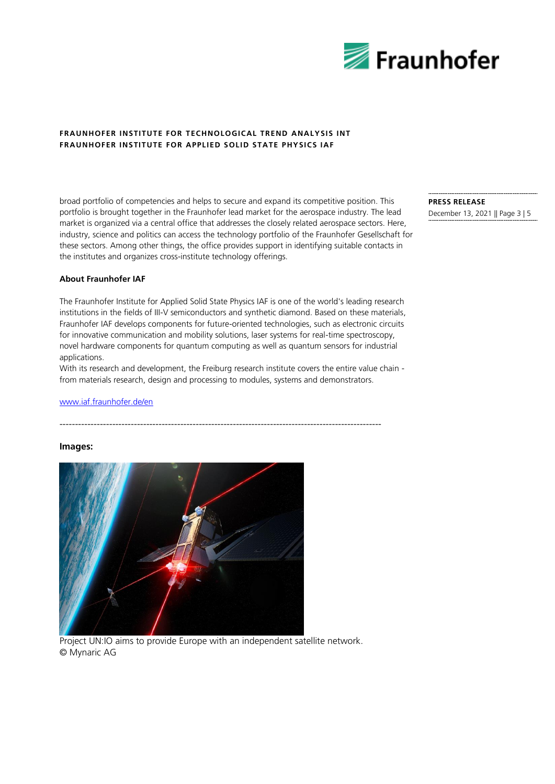

broad portfolio of competencies and helps to secure and expand its competitive position. This portfolio is brought together in the Fraunhofer lead market for the aerospace industry. The lead market is organized via a central office that addresses the closely related aerospace sectors. Here, industry, science and politics can access the technology portfolio of the Fraunhofer Gesellschaft for these sectors. Among other things, the office provides support in identifying suitable contacts in the institutes and organizes cross-institute technology offerings.

**PRESS RELEASE** December 13, 2021 || Page 3 | 5

#### **About Fraunhofer IAF**

The Fraunhofer Institute for Applied Solid State Physics IAF is one of the world's leading research institutions in the fields of III-V semiconductors and synthetic diamond. Based on these materials, Fraunhofer IAF develops components for future-oriented technologies, such as electronic circuits for innovative communication and mobility solutions, laser systems for real-time spectroscopy, novel hardware components for quantum computing as well as quantum sensors for industrial applications.

With its research and development, the Freiburg research institute covers the entire value chain from materials research, design and processing to modules, systems and demonstrators.

--------------------------------------------------------------------------------------------------------

#### [www.iaf.fraunhofer.de/en](http://www.iaf.fraunhofer.de/en)

#### **Images:**



Project UN:IO aims to provide Europe with an independent satellite network. © Mynaric AG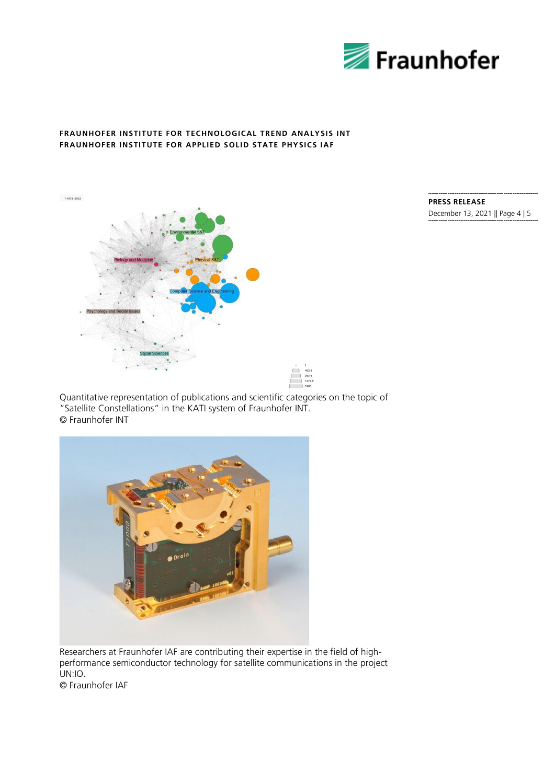



**PRESS RELEASE** December 13, 2021 || Page 4 | 5

Quantitative representation of publications and scientific categories on the topic of "Satellite Constellations" in the KATI system of Fraunhofer INT. © Fraunhofer INT



Researchers at Fraunhofer IAF are contributing their expertise in the field of highperformance semiconductor technology for satellite communications in the project UN:IO. © Fraunhofer IAF